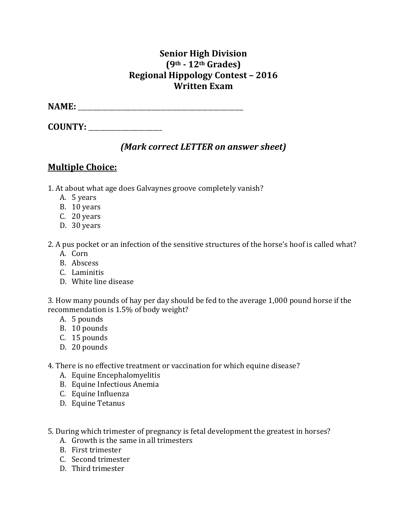## **Senior High Division (9th - 12th Grades) Regional Hippology Contest – 2016 Written Exam**

**NAME:** \_\_\_\_\_\_\_\_\_\_\_\_\_\_\_\_\_\_\_\_\_\_\_\_\_\_\_\_\_\_\_\_\_\_\_\_\_\_\_\_\_\_\_\_\_\_\_\_\_\_\_\_\_\_\_\_

**COUNTY:** \_\_\_\_\_\_\_\_\_\_\_\_\_\_\_\_\_\_\_\_\_\_\_\_\_

## *(Mark correct LETTER on answer sheet)*

# **Multiple Choice:**

- 1. At about what age does Galvaynes groove completely vanish?
	- A. 5 years
	- B. 10 years
	- C. 20 years
	- D. 30 years
- 2. A pus pocket or an infection of the sensitive structures of the horse's hoof is called what?
	- A. Corn
	- B. Abscess
	- C. Laminitis
	- D. White line disease

3. How many pounds of hay per day should be fed to the average 1,000 pound horse if the recommendation is 1.5% of body weight?

- A. 5 pounds
- B. 10 pounds
- C. 15 pounds
- D. 20 pounds
- 4. There is no effective treatment or vaccination for which equine disease?
	- A. Equine Encephalomyelitis
	- B. Equine Infectious Anemia
	- C. Equine Influenza
	- D. Equine Tetanus
- 5. During which trimester of pregnancy is fetal development the greatest in horses?
	- A. Growth is the same in all trimesters
	- B. First trimester
	- C. Second trimester
	- D. Third trimester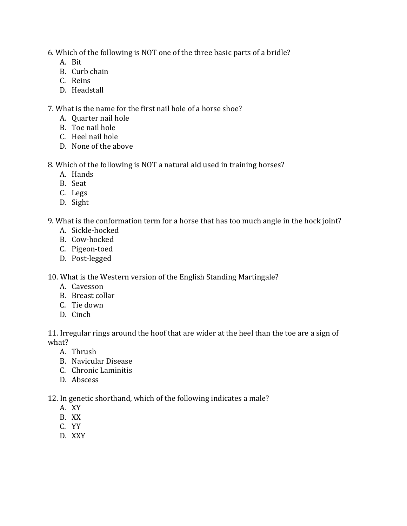6. Which of the following is NOT one of the three basic parts of a bridle?

- A. Bit
- B. Curb chain
- C. Reins
- D. Headstall

7. What is the name for the first nail hole of a horse shoe?

- A. Quarter nail hole
- B. Toe nail hole
- C. Heel nail hole
- D. None of the above

8. Which of the following is NOT a natural aid used in training horses?

- A. Hands
- B. Seat
- C. Legs
- D. Sight

9. What is the conformation term for a horse that has too much angle in the hock joint?

- A. Sickle-hocked
- B. Cow-hocked
- C. Pigeon-toed
- D. Post-legged

10. What is the Western version of the English Standing Martingale?

- A. Cavesson
- B. Breast collar
- C. Tie down
- D. Cinch

11. Irregular rings around the hoof that are wider at the heel than the toe are a sign of what?

- A. Thrush
- B. Navicular Disease
- C. Chronic Laminitis
- D. Abscess

12. In genetic shorthand, which of the following indicates a male?

- A. XY
- B. XX
- C. YY
- D. XXY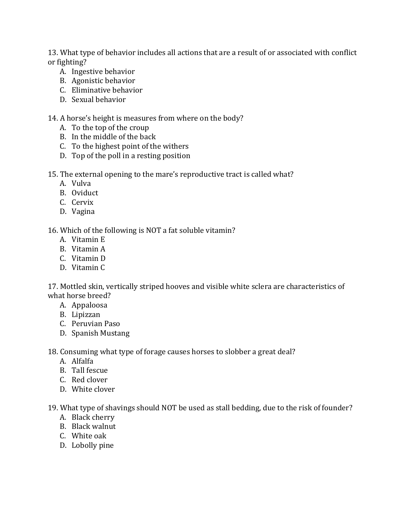13. What type of behavior includes all actions that are a result of or associated with conflict or fighting?

- A. Ingestive behavior
- B. Agonistic behavior
- C. Eliminative behavior
- D. Sexual behavior

#### 14. A horse's height is measures from where on the body?

- A. To the top of the croup
- B. In the middle of the back
- C. To the highest point of the withers
- D. Top of the poll in a resting position
- 15. The external opening to the mare's reproductive tract is called what?
	- A. Vulva
	- B. Oviduct
	- C. Cervix
	- D. Vagina

#### 16. Which of the following is NOT a fat soluble vitamin?

- A. Vitamin E
- B. Vitamin A
- C. Vitamin D
- D. Vitamin C

17. Mottled skin, vertically striped hooves and visible white sclera are characteristics of what horse breed?

- A. Appaloosa
- B. Lipizzan
- C. Peruvian Paso
- D. Spanish Mustang

18. Consuming what type of forage causes horses to slobber a great deal?

- A. Alfalfa
- B. Tall fescue
- C. Red clover
- D. White clover

19. What type of shavings should NOT be used as stall bedding, due to the risk of founder?

- A. Black cherry
- B. Black walnut
- C. White oak
- D. Lobolly pine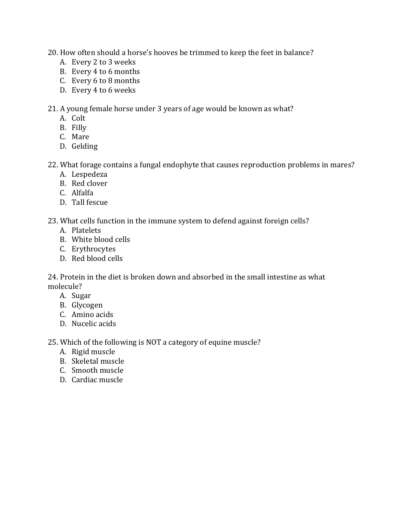- 20. How often should a horse's hooves be trimmed to keep the feet in balance?
	- A. Every 2 to 3 weeks
	- B. Every 4 to 6 months
	- C. Every 6 to 8 months
	- D. Every 4 to 6 weeks

21. A young female horse under 3 years of age would be known as what?

- A. Colt
- B. Filly
- C. Mare
- D. Gelding

#### 22. What forage contains a fungal endophyte that causes reproduction problems in mares?

- A. Lespedeza
- B. Red clover
- C. Alfalfa
- D. Tall fescue

23. What cells function in the immune system to defend against foreign cells?

- A. Platelets
- B. White blood cells
- C. Erythrocytes
- D. Red blood cells

24. Protein in the diet is broken down and absorbed in the small intestine as what molecule?

- A. Sugar
- B. Glycogen
- C. Amino acids
- D. Nucelic acids

25. Which of the following is NOT a category of equine muscle?

- A. Rigid muscle
- B. Skeletal muscle
- C. Smooth muscle
- D. Cardiac muscle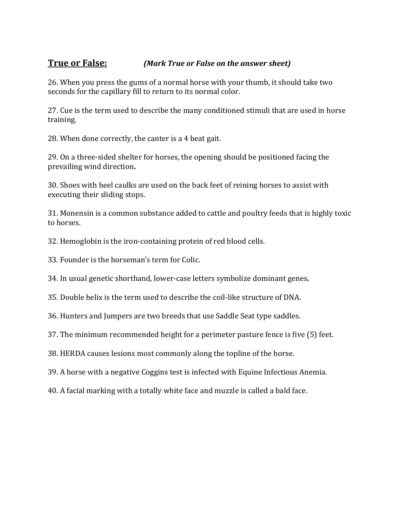### **True or False:** *(Mark True or False on the answer sheet)*

26. When you press the gums of a normal horse with your thumb, it should take two seconds for the capillary fill to return to its normal color.

27. Cue is the term used to describe the many conditioned stimuli that are used in horse training.

28. When done correctly, the canter is a 4 beat gait.

29. On a three-sided shelter for horses, the opening should be positioned facing the prevailing wind direction**.**

30. Shoes with heel caulks are used on the back feet of reining horses to assist with executing their sliding stops.

31. Monensin is a common substance added to cattle and poultry feeds that is highly toxic to horses.

32. Hemoglobin is the iron-containing protein of red blood cells.

33. Founder is the horseman's term for Colic.

34. In usual genetic shorthand, lower-case letters symbolize dominant genes**.**

35. Double helix is the term used to describe the coil-like structure of DNA.

36. Hunters and Jumpers are two breeds that use Saddle Seat type saddles.

37. The minimum recommended height for a perimeter pasture fence is five (5) feet.

38. HERDA causes lesions most commonly along the topline of the horse.

39. A horse with a negative Coggins test is infected with Equine Infectious Anemia.

40. A facial marking with a totally white face and muzzle is called a bald face.